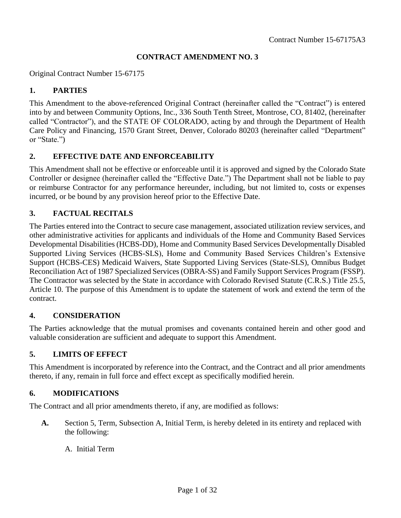#### **CONTRACT AMENDMENT NO. 3**

Original Contract Number 15-67175

# **1. PARTIES**

This Amendment to the above-referenced Original Contract (hereinafter called the "Contract") is entered into by and between Community Options, Inc., 336 South Tenth Street, Montrose, CO, 81402, (hereinafter called "Contractor"), and the STATE OF COLORADO, acting by and through the Department of Health Care Policy and Financing, 1570 Grant Street, Denver, Colorado 80203 (hereinafter called "Department" or "State.")

# **2. EFFECTIVE DATE AND ENFORCEABILITY**

This Amendment shall not be effective or enforceable until it is approved and signed by the Colorado State Controller or designee (hereinafter called the "Effective Date.") The Department shall not be liable to pay or reimburse Contractor for any performance hereunder, including, but not limited to, costs or expenses incurred, or be bound by any provision hereof prior to the Effective Date.

# **3. FACTUAL RECITALS**

The Parties entered into the Contract to secure case management, associated utilization review services, and other administrative activities for applicants and individuals of the Home and Community Based Services Developmental Disabilities (HCBS-DD), Home and Community Based Services Developmentally Disabled Supported Living Services (HCBS-SLS), Home and Community Based Services Children's Extensive Support (HCBS-CES) Medicaid Waivers, State Supported Living Services (State-SLS), Omnibus Budget Reconciliation Act of 1987 Specialized Services (OBRA-SS) and Family Support Services Program (FSSP). The Contractor was selected by the State in accordance with Colorado Revised Statute (C.R.S.) Title 25.5, Article 10. The purpose of this Amendment is to update the statement of work and extend the term of the contract.

## **4. CONSIDERATION**

The Parties acknowledge that the mutual promises and covenants contained herein and other good and valuable consideration are sufficient and adequate to support this Amendment.

## **5. LIMITS OF EFFECT**

This Amendment is incorporated by reference into the Contract, and the Contract and all prior amendments thereto, if any, remain in full force and effect except as specifically modified herein.

## **6. MODIFICATIONS**

The Contract and all prior amendments thereto, if any, are modified as follows:

- **A.** Section 5, Term, Subsection A, Initial Term, is hereby deleted in its entirety and replaced with the following:
	- A. Initial Term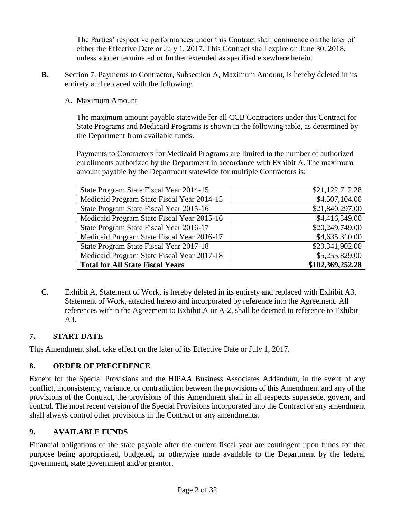The Parties' respective performances under this Contract shall commence on the later of either the Effective Date or July 1, 2017. This Contract shall expire on June 30, 2018, unless sooner terminated or further extended as specified elsewhere herein.

- **B.** Section 7, Payments to Contractor, Subsection A, Maximum Amount, is hereby deleted in its entirety and replaced with the following:
	- A. Maximum Amount

The maximum amount payable statewide for all CCB Contractors under this Contract for State Programs and Medicaid Programs is shown in the following table, as determined by the Department from available funds.

Payments to Contractors for Medicaid Programs are limited to the number of authorized enrollments authorized by the Department in accordance with Exhibit A. The maximum amount payable by the Department statewide for multiple Contractors is:

| State Program State Fiscal Year 2014-15    | \$21,122,712.28  |
|--------------------------------------------|------------------|
| Medicaid Program State Fiscal Year 2014-15 | \$4,507,104.00   |
| State Program State Fiscal Year 2015-16    | \$21,840,297.00  |
| Medicaid Program State Fiscal Year 2015-16 | \$4,416,349.00   |
| State Program State Fiscal Year 2016-17    | \$20,249,749.00  |
| Medicaid Program State Fiscal Year 2016-17 | \$4,635,310.00   |
| State Program State Fiscal Year 2017-18    | \$20,341,902.00  |
| Medicaid Program State Fiscal Year 2017-18 | \$5,255,829.00   |
| <b>Total for All State Fiscal Years</b>    | \$102,369,252.28 |

**C.** Exhibit A, Statement of Work, is hereby deleted in its entirety and replaced with Exhibit A3, Statement of Work, attached hereto and incorporated by reference into the Agreement. All references within the Agreement to Exhibit A or A-2, shall be deemed to reference to Exhibit A3.

# **7. START DATE**

This Amendment shall take effect on the later of its Effective Date or July 1, 2017.

# **8. ORDER OF PRECEDENCE**

Except for the Special Provisions and the HIPAA Business Associates Addendum, in the event of any conflict, inconsistency, variance, or contradiction between the provisions of this Amendment and any of the provisions of the Contract, the provisions of this Amendment shall in all respects supersede, govern, and control. The most recent version of the Special Provisions incorporated into the Contract or any amendment shall always control other provisions in the Contract or any amendments.

# **9. AVAILABLE FUNDS**

Financial obligations of the state payable after the current fiscal year are contingent upon funds for that purpose being appropriated, budgeted, or otherwise made available to the Department by the federal government, state government and/or grantor.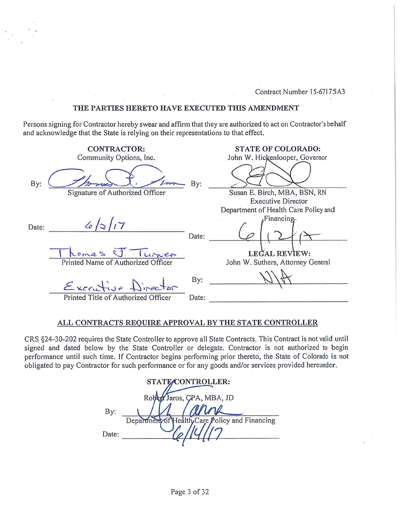Contract Number 15-67175A3

#### THE PARTIES HERETO HAVE EXECUTED THIS AMENDMENT

Persons signing for Contractor hereby swear and affirm that they are authorized to act on Contractor's behalf and acknowledge that the State is relying on their representations to that effect.

|       | <b>CONTRACTOR:</b><br>Community Options, Inc.         |       | <b>STATE OF COLORADO:</b><br>John W. Hickenlooper, Governor |
|-------|-------------------------------------------------------|-------|-------------------------------------------------------------|
| By:   |                                                       | By:   |                                                             |
|       | Signature of Authorized Officer                       |       | Susan E. Birch, MBA, BSN, RN                                |
|       |                                                       |       | <b>Executive Director</b>                                   |
|       |                                                       |       | Department of Health Care Policy and                        |
| Date: | 42/17                                                 | Date: | Financing                                                   |
|       | Lomas J. Turner<br>Printed Name of Authorized Officer |       | LEGAL REVIEW:<br>John W. Suthers, Attorney General          |
|       | Executive Director                                    | By:   |                                                             |
|       | Printed Title of Authorized Officer                   | Date: |                                                             |

#### ALL CONTRACTS REQUIRE APPROVAL BY THE STATE CONTROLLER

CRS §24-30-202 requires the State Controller to approve all State Contracts. This Contract is not valid until signed and dated below by the State Controller or delegate. Contractor is not authorized to begin performance until such time. If Contractor begins performing prior thereto, the State of Colorado is not obligated to pay Contractor for such performance or for any goods and/or services provided hereunder.

STATE/CONTROLLER: Robert Jaros, CPA, MBA, JD By: Health, Care Policy and Financing Date: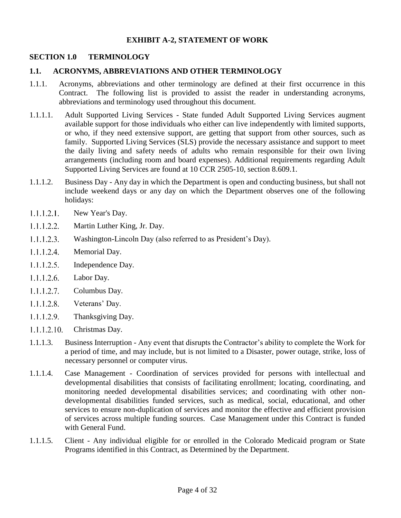# **EXHIBIT A-2, STATEMENT OF WORK**

#### **SECTION 1.0 TERMINOLOGY**

#### **1.1. ACRONYMS, ABBREVIATIONS AND OTHER TERMINOLOGY**

- 1.1.1. Acronyms, abbreviations and other terminology are defined at their first occurrence in this Contract. The following list is provided to assist the reader in understanding acronyms, abbreviations and terminology used throughout this document.
- 1.1.1.1. Adult Supported Living Services State funded Adult Supported Living Services augment available support for those individuals who either can live independently with limited supports, or who, if they need extensive support, are getting that support from other sources, such as family. Supported Living Services (SLS) provide the necessary assistance and support to meet the daily living and safety needs of adults who remain responsible for their own living arrangements (including room and board expenses). Additional requirements regarding Adult Supported Living Services are found at 10 CCR 2505-10, section 8.609.1.
- 1.1.1.2. Business Day Any day in which the Department is open and conducting business, but shall not include weekend days or any day on which the Department observes one of the following holidays:
- $1.1.1.2.1.$ New Year's Day.
- $1.1.1.2.2.$ Martin Luther King, Jr. Day.
- $1.1.1.2.3.$ Washington-Lincoln Day (also referred to as President's Day).
- $1.1.1.2.4.$ Memorial Day.
- $1.1.1.2.5.$ Independence Day.
- $1.1.1.2.6.$ Labor Day.
- $1.1.1.2.7.$ Columbus Day.
- $1.1.1.2.8.$ Veterans' Day.
- $1.1.1.2.9.$ Thanksgiving Day.
- $1.1.1.2.10.$ Christmas Day.
- 1.1.1.3. Business Interruption Any event that disrupts the Contractor's ability to complete the Work for a period of time, and may include, but is not limited to a Disaster, power outage, strike, loss of necessary personnel or computer virus.
- 1.1.1.4. Case Management Coordination of services provided for persons with intellectual and developmental disabilities that consists of facilitating enrollment; locating, coordinating, and monitoring needed developmental disabilities services; and coordinating with other nondevelopmental disabilities funded services, such as medical, social, educational, and other services to ensure non-duplication of services and monitor the effective and efficient provision of services across multiple funding sources. Case Management under this Contract is funded with General Fund.
- 1.1.1.5. Client Any individual eligible for or enrolled in the Colorado Medicaid program or State Programs identified in this Contract, as Determined by the Department.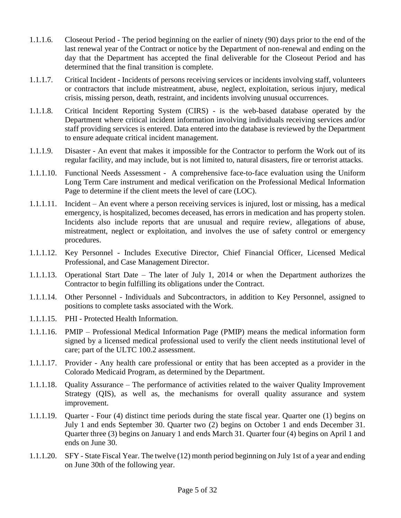- 1.1.1.6. Closeout Period The period beginning on the earlier of ninety (90) days prior to the end of the last renewal year of the Contract or notice by the Department of non-renewal and ending on the day that the Department has accepted the final deliverable for the Closeout Period and has determined that the final transition is complete.
- 1.1.1.7. Critical Incident Incidents of persons receiving services or incidents involving staff, volunteers or contractors that include mistreatment, abuse, neglect, exploitation, serious injury, medical crisis, missing person, death, restraint, and incidents involving unusual occurrences.
- 1.1.1.8. Critical Incident Reporting System (CIRS) is the web-based database operated by the Department where critical incident information involving individuals receiving services and/or staff providing services is entered. Data entered into the database is reviewed by the Department to ensure adequate critical incident management.
- 1.1.1.9. Disaster An event that makes it impossible for the Contractor to perform the Work out of its regular facility, and may include, but is not limited to, natural disasters, fire or terrorist attacks.
- 1.1.1.10. Functional Needs Assessment A comprehensive face-to-face evaluation using the Uniform Long Term Care instrument and medical verification on the Professional Medical Information Page to determine if the client meets the level of care (LOC).
- 1.1.1.11. Incident An event where a person receiving services is injured, lost or missing, has a medical emergency, is hospitalized, becomes deceased, has errors in medication and has property stolen. Incidents also include reports that are unusual and require review, allegations of abuse, mistreatment, neglect or exploitation, and involves the use of safety control or emergency procedures.
- 1.1.1.12. Key Personnel Includes Executive Director, Chief Financial Officer, Licensed Medical Professional, and Case Management Director.
- 1.1.1.13. Operational Start Date The later of July 1, 2014 or when the Department authorizes the Contractor to begin fulfilling its obligations under the Contract.
- 1.1.1.14. Other Personnel Individuals and Subcontractors, in addition to Key Personnel, assigned to positions to complete tasks associated with the Work.
- 1.1.1.15. PHI Protected Health Information.
- 1.1.1.16. PMIP Professional Medical Information Page (PMIP) means the medical information form signed by a licensed medical professional used to verify the client needs institutional level of care; part of the ULTC 100.2 assessment.
- 1.1.1.17. Provider Any health care professional or entity that has been accepted as a provider in the Colorado Medicaid Program, as determined by the Department.
- 1.1.1.18. Quality Assurance The performance of activities related to the waiver Quality Improvement Strategy (QIS), as well as, the mechanisms for overall quality assurance and system improvement.
- 1.1.1.19. Quarter Four (4) distinct time periods during the state fiscal year. Quarter one (1) begins on July 1 and ends September 30. Quarter two (2) begins on October 1 and ends December 31. Quarter three (3) begins on January 1 and ends March 31. Quarter four (4) begins on April 1 and ends on June 30.
- 1.1.1.20. SFY State Fiscal Year. The twelve (12) month period beginning on July 1st of a year and ending on June 30th of the following year.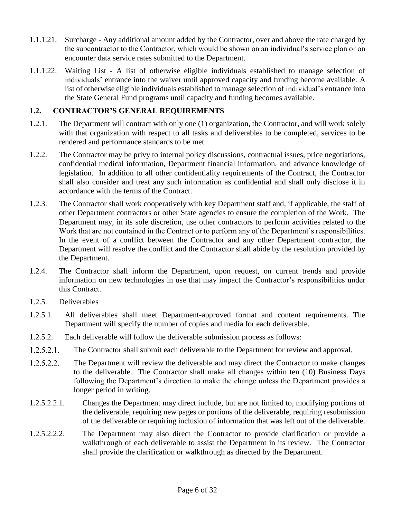- 1.1.1.21. Surcharge Any additional amount added by the Contractor, over and above the rate charged by the subcontractor to the Contractor, which would be shown on an individual's service plan or on encounter data service rates submitted to the Department.
- 1.1.1.22. Waiting List A list of otherwise eligible individuals established to manage selection of individuals' entrance into the waiver until approved capacity and funding become available. A list of otherwise eligible individuals established to manage selection of individual's entrance into the State General Fund programs until capacity and funding becomes available.

# **1.2. CONTRACTOR'S GENERAL REQUIREMENTS**

- 1.2.1. The Department will contract with only one (1) organization, the Contractor, and will work solely with that organization with respect to all tasks and deliverables to be completed, services to be rendered and performance standards to be met.
- 1.2.2. The Contractor may be privy to internal policy discussions, contractual issues, price negotiations, confidential medical information, Department financial information, and advance knowledge of legislation. In addition to all other confidentiality requirements of the Contract, the Contractor shall also consider and treat any such information as confidential and shall only disclose it in accordance with the terms of the Contract.
- 1.2.3. The Contractor shall work cooperatively with key Department staff and, if applicable, the staff of other Department contractors or other State agencies to ensure the completion of the Work. The Department may, in its sole discretion, use other contractors to perform activities related to the Work that are not contained in the Contract or to perform any of the Department's responsibilities. In the event of a conflict between the Contractor and any other Department contractor, the Department will resolve the conflict and the Contractor shall abide by the resolution provided by the Department.
- 1.2.4. The Contractor shall inform the Department, upon request, on current trends and provide information on new technologies in use that may impact the Contractor's responsibilities under this Contract.
- 1.2.5. Deliverables
- 1.2.5.1. All deliverables shall meet Department-approved format and content requirements. The Department will specify the number of copies and media for each deliverable.
- 1.2.5.2. Each deliverable will follow the deliverable submission process as follows:
- $1.2.5.2.1.$ The Contractor shall submit each deliverable to the Department for review and approval.
- $1.2.5.2.2.$ The Department will review the deliverable and may direct the Contractor to make changes to the deliverable. The Contractor shall make all changes within ten (10) Business Days following the Department's direction to make the change unless the Department provides a longer period in writing.
- 1.2.5.2.2.1. Changes the Department may direct include, but are not limited to, modifying portions of the deliverable, requiring new pages or portions of the deliverable, requiring resubmission of the deliverable or requiring inclusion of information that was left out of the deliverable.
- 1.2.5.2.2.2. The Department may also direct the Contractor to provide clarification or provide a walkthrough of each deliverable to assist the Department in its review. The Contractor shall provide the clarification or walkthrough as directed by the Department.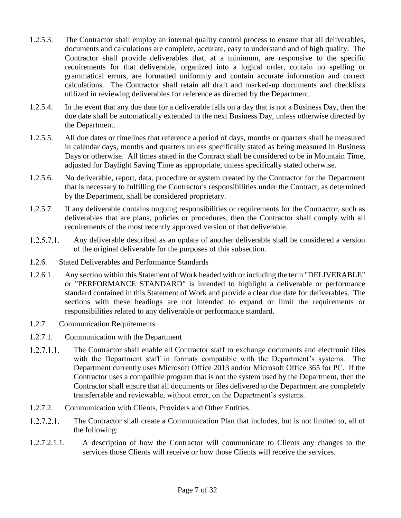- 1.2.5.3. The Contractor shall employ an internal quality control process to ensure that all deliverables, documents and calculations are complete, accurate, easy to understand and of high quality. The Contractor shall provide deliverables that, at a minimum, are responsive to the specific requirements for that deliverable, organized into a logical order, contain no spelling or grammatical errors, are formatted uniformly and contain accurate information and correct calculations. The Contractor shall retain all draft and marked-up documents and checklists utilized in reviewing deliverables for reference as directed by the Department.
- 1.2.5.4. In the event that any due date for a deliverable falls on a day that is not a Business Day, then the due date shall be automatically extended to the next Business Day, unless otherwise directed by the Department.
- 1.2.5.5. All due dates or timelines that reference a period of days, months or quarters shall be measured in calendar days, months and quarters unless specifically stated as being measured in Business Days or otherwise. All times stated in the Contract shall be considered to be in Mountain Time, adjusted for Daylight Saving Time as appropriate, unless specifically stated otherwise.
- 1.2.5.6. No deliverable, report, data, procedure or system created by the Contractor for the Department that is necessary to fulfilling the Contractor's responsibilities under the Contract, as determined by the Department, shall be considered proprietary.
- 1.2.5.7. If any deliverable contains ongoing responsibilities or requirements for the Contractor, such as deliverables that are plans, policies or procedures, then the Contractor shall comply with all requirements of the most recently approved version of that deliverable.
- $1.2.5.7.1.$ Any deliverable described as an update of another deliverable shall be considered a version of the original deliverable for the purposes of this subsection.
- 1.2.6. Stated Deliverables and Performance Standards
- 1.2.6.1. Any section within this Statement of Work headed with or including the term "DELIVERABLE" or "PERFORMANCE STANDARD" is intended to highlight a deliverable or performance standard contained in this Statement of Work and provide a clear due date for deliverables. The sections with these headings are not intended to expand or limit the requirements or responsibilities related to any deliverable or performance standard.
- 1.2.7. Communication Requirements
- 1.2.7.1. Communication with the Department
- $1.2.7.1.1.$ The Contractor shall enable all Contractor staff to exchange documents and electronic files with the Department staff in formats compatible with the Department's systems. The Department currently uses Microsoft Office 2013 and/or Microsoft Office 365 for PC. If the Contractor uses a compatible program that is not the system used by the Department, then the Contractor shall ensure that all documents or files delivered to the Department are completely transferrable and reviewable, without error, on the Department's systems.
- 1.2.7.2. Communication with Clients, Providers and Other Entities
- $1, 2, 7, 2, 1$ . The Contractor shall create a Communication Plan that includes, but is not limited to, all of the following:
- 1.2.7.2.1.1. A description of how the Contractor will communicate to Clients any changes to the services those Clients will receive or how those Clients will receive the services.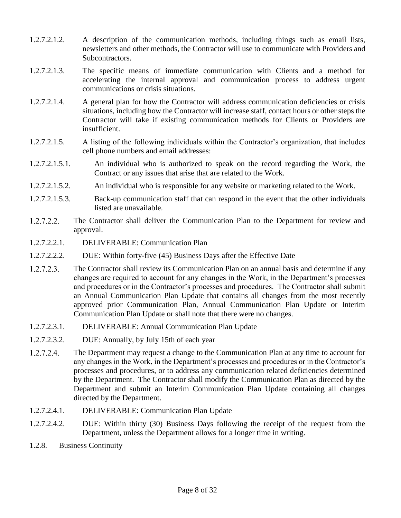- 1.2.7.2.1.2. A description of the communication methods, including things such as email lists, newsletters and other methods, the Contractor will use to communicate with Providers and Subcontractors.
- 1.2.7.2.1.3. The specific means of immediate communication with Clients and a method for accelerating the internal approval and communication process to address urgent communications or crisis situations.
- 1.2.7.2.1.4. A general plan for how the Contractor will address communication deficiencies or crisis situations, including how the Contractor will increase staff, contact hours or other steps the Contractor will take if existing communication methods for Clients or Providers are insufficient.
- 1.2.7.2.1.5. A listing of the following individuals within the Contractor's organization, that includes cell phone numbers and email addresses:
- 1.2.7.2.1.5.1. An individual who is authorized to speak on the record regarding the Work, the Contract or any issues that arise that are related to the Work.
- 1.2.7.2.1.5.2. An individual who is responsible for any website or marketing related to the Work.
- 1.2.7.2.1.5.3. Back-up communication staff that can respond in the event that the other individuals listed are unavailable.
- $1, 2, 7, 2, 2,$ The Contractor shall deliver the Communication Plan to the Department for review and approval.
- 1.2.7.2.2.1. DELIVERABLE: Communication Plan
- 1.2.7.2.2.2. DUE: Within forty-five (45) Business Days after the Effective Date
- $1.2.7.2.3.$ The Contractor shall review its Communication Plan on an annual basis and determine if any changes are required to account for any changes in the Work, in the Department's processes and procedures or in the Contractor's processes and procedures. The Contractor shall submit an Annual Communication Plan Update that contains all changes from the most recently approved prior Communication Plan, Annual Communication Plan Update or Interim Communication Plan Update or shall note that there were no changes.
- 1.2.7.2.3.1. DELIVERABLE: Annual Communication Plan Update
- 1.2.7.2.3.2. DUE: Annually, by July 15th of each year
- $1, 2, 7, 2, 4$ The Department may request a change to the Communication Plan at any time to account for any changes in the Work, in the Department's processes and procedures or in the Contractor's processes and procedures, or to address any communication related deficiencies determined by the Department. The Contractor shall modify the Communication Plan as directed by the Department and submit an Interim Communication Plan Update containing all changes directed by the Department.
- 1.2.7.2.4.1. DELIVERABLE: Communication Plan Update
- 1.2.7.2.4.2. DUE: Within thirty (30) Business Days following the receipt of the request from the Department, unless the Department allows for a longer time in writing.
- 1.2.8. Business Continuity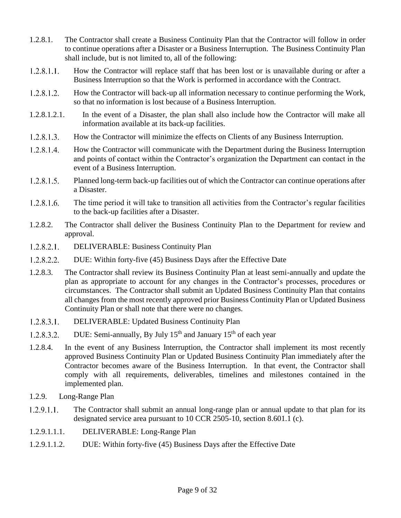- 1.2.8.1. The Contractor shall create a Business Continuity Plan that the Contractor will follow in order to continue operations after a Disaster or a Business Interruption. The Business Continuity Plan shall include, but is not limited to, all of the following:
- $1.2.8.1.1.$ How the Contractor will replace staff that has been lost or is unavailable during or after a Business Interruption so that the Work is performed in accordance with the Contract.
- How the Contractor will back-up all information necessary to continue performing the Work,  $1.2.8.1.2.$ so that no information is lost because of a Business Interruption.
- 1.2.8.1.2.1. In the event of a Disaster, the plan shall also include how the Contractor will make all information available at its back-up facilities.
- How the Contractor will minimize the effects on Clients of any Business Interruption.  $1.2.8.1.3.$
- How the Contractor will communicate with the Department during the Business Interruption  $1.2.8.1.4.$ and points of contact within the Contractor's organization the Department can contact in the event of a Business Interruption.
- $1.2.8.1.5.$ Planned long-term back-up facilities out of which the Contractor can continue operations after a Disaster.
- The time period it will take to transition all activities from the Contractor's regular facilities  $1.2.8.1.6.$ to the back-up facilities after a Disaster.
- 1.2.8.2. The Contractor shall deliver the Business Continuity Plan to the Department for review and approval.
- $1.2.8.2.1.$ DELIVERABLE: Business Continuity Plan
- $1.2.8.2.2.$ DUE: Within forty-five (45) Business Days after the Effective Date
- 1.2.8.3. The Contractor shall review its Business Continuity Plan at least semi-annually and update the plan as appropriate to account for any changes in the Contractor's processes, procedures or circumstances. The Contractor shall submit an Updated Business Continuity Plan that contains all changes from the most recently approved prior Business Continuity Plan or Updated Business Continuity Plan or shall note that there were no changes.
- $1.2.8.3.1.$ DELIVERABLE: Updated Business Continuity Plan
- DUE: Semi-annually, By July  $15<sup>th</sup>$  and January  $15<sup>th</sup>$  of each year  $1.2.8.3.2.$
- 1.2.8.4. In the event of any Business Interruption, the Contractor shall implement its most recently approved Business Continuity Plan or Updated Business Continuity Plan immediately after the Contractor becomes aware of the Business Interruption. In that event, the Contractor shall comply with all requirements, deliverables, timelines and milestones contained in the implemented plan.
- 1.2.9. Long-Range Plan
- $1.2.9.1.1.$ The Contractor shall submit an annual long-range plan or annual update to that plan for its designated service area pursuant to 10 CCR 2505-10, section 8.601.1 (c).
- 1.2.9.1.1.1. DELIVERABLE: Long-Range Plan
- 1.2.9.1.1.2. DUE: Within forty-five (45) Business Days after the Effective Date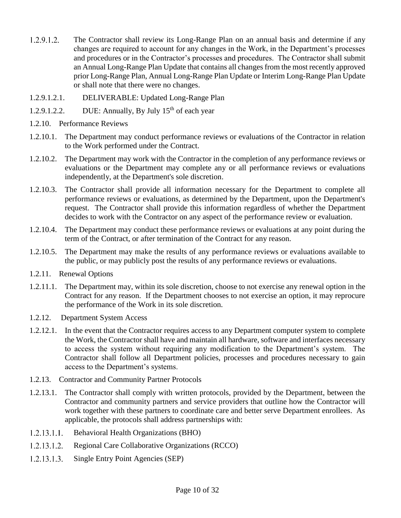- The Contractor shall review its Long-Range Plan on an annual basis and determine if any  $1.2.9.1.2.$ changes are required to account for any changes in the Work, in the Department's processes and procedures or in the Contractor's processes and procedures. The Contractor shall submit an Annual Long-Range Plan Update that contains all changes from the most recently approved prior Long-Range Plan, Annual Long-Range Plan Update or Interim Long-Range Plan Update or shall note that there were no changes.
- 1.2.9.1.2.1. DELIVERABLE: Updated Long-Range Plan
- 1.2.9.1.2.2. DUE: Annually, By July  $15<sup>th</sup>$  of each year
- 1.2.10. Performance Reviews
- 1.2.10.1. The Department may conduct performance reviews or evaluations of the Contractor in relation to the Work performed under the Contract.
- 1.2.10.2. The Department may work with the Contractor in the completion of any performance reviews or evaluations or the Department may complete any or all performance reviews or evaluations independently, at the Department's sole discretion.
- 1.2.10.3. The Contractor shall provide all information necessary for the Department to complete all performance reviews or evaluations, as determined by the Department, upon the Department's request. The Contractor shall provide this information regardless of whether the Department decides to work with the Contractor on any aspect of the performance review or evaluation.
- 1.2.10.4. The Department may conduct these performance reviews or evaluations at any point during the term of the Contract, or after termination of the Contract for any reason.
- 1.2.10.5. The Department may make the results of any performance reviews or evaluations available to the public, or may publicly post the results of any performance reviews or evaluations.
- 1.2.11. Renewal Options
- 1.2.11.1. The Department may, within its sole discretion, choose to not exercise any renewal option in the Contract for any reason. If the Department chooses to not exercise an option, it may reprocure the performance of the Work in its sole discretion.
- 1.2.12. Department System Access
- 1.2.12.1. In the event that the Contractor requires access to any Department computer system to complete the Work, the Contractor shall have and maintain all hardware, software and interfaces necessary to access the system without requiring any modification to the Department's system. The Contractor shall follow all Department policies, processes and procedures necessary to gain access to the Department's systems.
- 1.2.13. Contractor and Community Partner Protocols
- 1.2.13.1. The Contractor shall comply with written protocols, provided by the Department, between the Contractor and community partners and service providers that outline how the Contractor will work together with these partners to coordinate care and better serve Department enrollees. As applicable, the protocols shall address partnerships with:
- $1, 2, 13, 1, 1,$ Behavioral Health Organizations (BHO)
- $1, 2, 13, 1, 2.$ Regional Care Collaborative Organizations (RCCO)
- $1, 2, 13, 1, 3,$ Single Entry Point Agencies (SEP)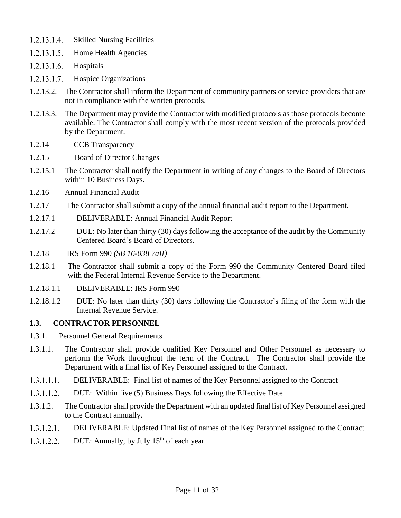- 1.2.13.1.4. Skilled Nursing Facilities
- $1.2.13.1.5.$ Home Health Agencies
- $1.2.13.1.6.$ Hospitals
- 1.2.13.1.7. Hospice Organizations
- 1.2.13.2. The Contractor shall inform the Department of community partners or service providers that are not in compliance with the written protocols.
- 1.2.13.3. The Department may provide the Contractor with modified protocols as those protocols become available. The Contractor shall comply with the most recent version of the protocols provided by the Department.
- 1.2.14 CCB Transparency
- 1.2.15 Board of Director Changes
- 1.2.15.1 The Contractor shall notify the Department in writing of any changes to the Board of Directors within 10 Business Days.
- 1.2.16 Annual Financial Audit
- 1.2.17 The Contractor shall submit a copy of the annual financial audit report to the Department.
- 1.2.17.1 DELIVERABLE: Annual Financial Audit Report
- 1.2.17.2 DUE: No later than thirty (30) days following the acceptance of the audit by the Community Centered Board's Board of Directors.
- 1.2.18 IRS Form 990 *(SB 16-038 7aII)*
- 1.2.18.1 The Contractor shall submit a copy of the Form 990 the Community Centered Board filed with the Federal Internal Revenue Service to the Department.
- 1.2.18.1.1 DELIVERABLE: IRS Form 990
- 1.2.18.1.2 DUE: No later than thirty (30) days following the Contractor's filing of the form with the Internal Revenue Service.

#### **1.3. CONTRACTOR PERSONNEL**

- 1.3.1. Personnel General Requirements
- 1.3.1.1. The Contractor shall provide qualified Key Personnel and Other Personnel as necessary to perform the Work throughout the term of the Contract. The Contractor shall provide the Department with a final list of Key Personnel assigned to the Contract.
- $1,3,1,1,1$ . DELIVERABLE: Final list of names of the Key Personnel assigned to the Contract
- $1.3.1.1.2.$ DUE: Within five (5) Business Days following the Effective Date
- 1.3.1.2. The Contractor shall provide the Department with an updated final list of Key Personnel assigned to the Contract annually.
- $1.3.1.2.1.$ DELIVERABLE: Updated Final list of names of the Key Personnel assigned to the Contract
- DUE: Annually, by July  $15<sup>th</sup>$  of each year  $1.3.1.2.2$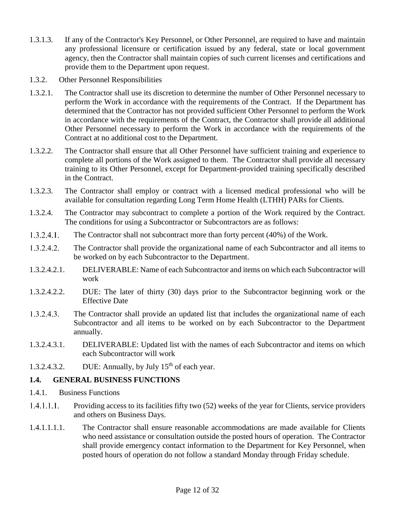- 1.3.1.3. If any of the Contractor's Key Personnel, or Other Personnel, are required to have and maintain any professional licensure or certification issued by any federal, state or local government agency, then the Contractor shall maintain copies of such current licenses and certifications and provide them to the Department upon request.
- 1.3.2. Other Personnel Responsibilities
- 1.3.2.1. The Contractor shall use its discretion to determine the number of Other Personnel necessary to perform the Work in accordance with the requirements of the Contract. If the Department has determined that the Contractor has not provided sufficient Other Personnel to perform the Work in accordance with the requirements of the Contract, the Contractor shall provide all additional Other Personnel necessary to perform the Work in accordance with the requirements of the Contract at no additional cost to the Department.
- 1.3.2.2. The Contractor shall ensure that all Other Personnel have sufficient training and experience to complete all portions of the Work assigned to them. The Contractor shall provide all necessary training to its Other Personnel, except for Department-provided training specifically described in the Contract.
- 1.3.2.3. The Contractor shall employ or contract with a licensed medical professional who will be available for consultation regarding Long Term Home Health (LTHH) PARs for Clients.
- 1.3.2.4. The Contractor may subcontract to complete a portion of the Work required by the Contract. The conditions for using a Subcontractor or Subcontractors are as follows:
- $1,3,2,4,1$ . The Contractor shall not subcontract more than forty percent (40%) of the Work.
- $1.3.2.4.2.$ The Contractor shall provide the organizational name of each Subcontractor and all items to be worked on by each Subcontractor to the Department.
- 1.3.2.4.2.1. DELIVERABLE: Name of each Subcontractor and items on which each Subcontractor will work
- 1.3.2.4.2.2. DUE: The later of thirty (30) days prior to the Subcontractor beginning work or the Effective Date
- $1.3.2.4.3.$ The Contractor shall provide an updated list that includes the organizational name of each Subcontractor and all items to be worked on by each Subcontractor to the Department annually.
- 1.3.2.4.3.1. DELIVERABLE: Updated list with the names of each Subcontractor and items on which each Subcontractor will work
- 1.3.2.4.3.2. DUE: Annually, by July  $15<sup>th</sup>$  of each year.

## **1.4. GENERAL BUSINESS FUNCTIONS**

- 1.4.1. Business Functions
- $1.4.1.1.1.$ Providing access to its facilities fifty two (52) weeks of the year for Clients, service providers and others on Business Days.
- 1.4.1.1.1.1. The Contractor shall ensure reasonable accommodations are made available for Clients who need assistance or consultation outside the posted hours of operation. The Contractor shall provide emergency contact information to the Department for Key Personnel, when posted hours of operation do not follow a standard Monday through Friday schedule.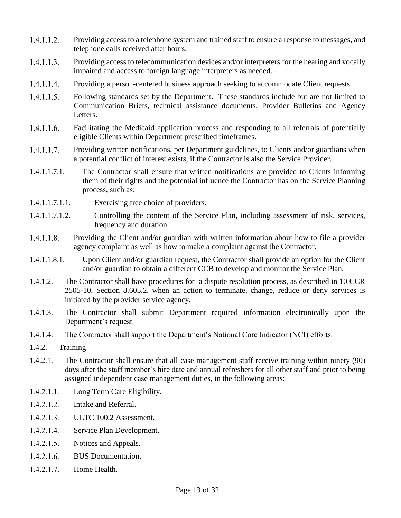- Providing access to a telephone system and trained staff to ensure a response to messages, and  $1.4.1.1.2.$ telephone calls received after hours.
- $1.4.1.1.3.$ Providing access to telecommunication devices and/or interpreters for the hearing and vocally impaired and access to foreign language interpreters as needed.
- $1,4,1,1,4$ Providing a person-centered business approach seeking to accommodate Client requests..
- $1.4.1.1.5.$ Following standards set by the Department. These standards include but are not limited to Communication Briefs, technical assistance documents, Provider Bulletins and Agency Letters.
- $1.4.1.1.6.$ Facilitating the Medicaid application process and responding to all referrals of potentially eligible Clients within Department prescribed timeframes.
- Providing written notifications, per Department guidelines, to Clients and/or guardians when  $1.4.1.1.7.$ a potential conflict of interest exists, if the Contractor is also the Service Provider.
- 1.4.1.1.7.1. The Contractor shall ensure that written notifications are provided to Clients informing them of their rights and the potential influence the Contractor has on the Service Planning process, such as:
- 1.4.1.1.7.1.1. Exercising free choice of providers.
- 1.4.1.1.7.1.2. Controlling the content of the Service Plan, including assessment of risk, services, frequency and duration.
- $1.4.1.1.8.$ Providing the Client and/or guardian with written information about how to file a provider agency complaint as well as how to make a complaint against the Contractor.
- 1.4.1.1.8.1. Upon Client and/or guardian request, the Contractor shall provide an option for the Client and/or guardian to obtain a different CCB to develop and monitor the Service Plan.
- 1.4.1.2. The Contractor shall have procedures for a dispute resolution process, as described in 10 CCR 2505-10, Section 8.605.2, when an action to terminate, change, reduce or deny services is initiated by the provider service agency.
- 1.4.1.3. The Contractor shall submit Department required information electronically upon the Department's request.
- 1.4.1.4. The Contractor shall support the Department's National Core Indicator (NCI) efforts.
- 1.4.2. Training
- 1.4.2.1. The Contractor shall ensure that all case management staff receive training within ninety (90) days after the staff member's hire date and annual refreshers for all other staff and prior to being assigned independent case management duties, in the following areas:
- $1.4.2.1.1.$ Long Term Care Eligibility.
- $1.4.2.1.2.$ Intake and Referral.
- $1.4.2.1.3.$ ULTC 100.2 Assessment.
- $1.4.2.1.4.$ Service Plan Development.
- $1.4.2.1.5.$ Notices and Appeals.
- BUS Documentation.  $1.4.2.1.6.$
- $1.4.2.1.7.$ Home Health.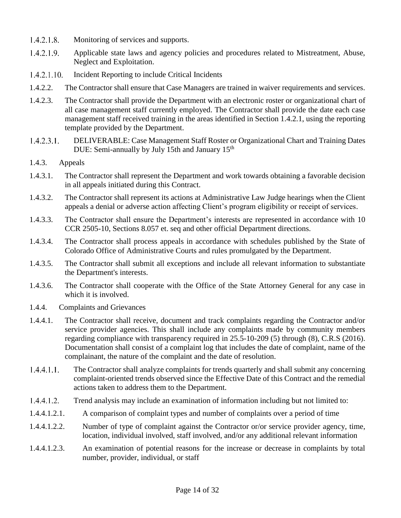- $1.4.2.1.8.$ Monitoring of services and supports.
- $1.4.2.1.9.$ Applicable state laws and agency policies and procedures related to Mistreatment, Abuse, Neglect and Exploitation.
- $1.4.2.1.10.$ Incident Reporting to include Critical Incidents
- 1.4.2.2. The Contractor shall ensure that Case Managers are trained in waiver requirements and services.
- 1.4.2.3. The Contractor shall provide the Department with an electronic roster or organizational chart of all case management staff currently employed. The Contractor shall provide the date each case management staff received training in the areas identified in Section 1.4.2.1, using the reporting template provided by the Department.
- $1.4.2.3.1.$ DELIVERABLE: Case Management Staff Roster or Organizational Chart and Training Dates DUE: Semi-annually by July 15th and January 15<sup>th</sup>
- 1.4.3. Appeals
- 1.4.3.1. The Contractor shall represent the Department and work towards obtaining a favorable decision in all appeals initiated during this Contract.
- 1.4.3.2. The Contractor shall represent its actions at Administrative Law Judge hearings when the Client appeals a denial or adverse action affecting Client's program eligibility or receipt of services.
- 1.4.3.3. The Contractor shall ensure the Department's interests are represented in accordance with 10 CCR 2505-10, Sections 8.057 et. seq and other official Department directions.
- 1.4.3.4. The Contractor shall process appeals in accordance with schedules published by the State of Colorado Office of Administrative Courts and rules promulgated by the Department.
- 1.4.3.5. The Contractor shall submit all exceptions and include all relevant information to substantiate the Department's interests.
- 1.4.3.6. The Contractor shall cooperate with the Office of the State Attorney General for any case in which it is involved.
- 1.4.4. Complaints and Grievances
- 1.4.4.1. The Contractor shall receive, document and track complaints regarding the Contractor and/or service provider agencies. This shall include any complaints made by community members regarding compliance with transparency required in 25.5-10-209 (5) through (8), C.R.S (2016). Documentation shall consist of a complaint log that includes the date of complaint, name of the complainant, the nature of the complaint and the date of resolution.
- $1.4.4.1.1.$ The Contractor shall analyze complaints for trends quarterly and shall submit any concerning complaint-oriented trends observed since the Effective Date of this Contract and the remedial actions taken to address them to the Department.
- $1.4.4.1.2.$ Trend analysis may include an examination of information including but not limited to:
- 1.4.4.1.2.1. A comparison of complaint types and number of complaints over a period of time
- 1.4.4.1.2.2. Number of type of complaint against the Contractor or/or service provider agency, time, location, individual involved, staff involved, and/or any additional relevant information
- 1.4.4.1.2.3. An examination of potential reasons for the increase or decrease in complaints by total number, provider, individual, or staff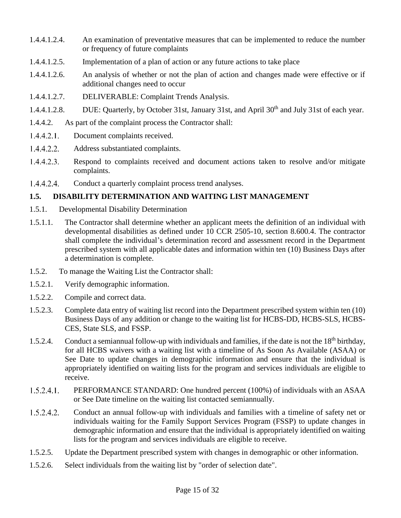- 1.4.4.1.2.4. An examination of preventative measures that can be implemented to reduce the number or frequency of future complaints
- 1.4.4.1.2.5. Implementation of a plan of action or any future actions to take place
- 1.4.4.1.2.6. An analysis of whether or not the plan of action and changes made were effective or if additional changes need to occur
- 1.4.4.1.2.7. DELIVERABLE: Complaint Trends Analysis.
- 1.4.4.1.2.8. DUE: Quarterly, by October 31st, January 31st, and April 30<sup>th</sup> and July 31st of each year.
- 1.4.4.2. As part of the complaint process the Contractor shall:
- $1.4.4.2.1.$ Document complaints received.
- $1.4.4.2.2.$ Address substantiated complaints.
- $1.4.4.2.3.$ Respond to complaints received and document actions taken to resolve and/or mitigate complaints.
- $1.4.4.2.4.$ Conduct a quarterly complaint process trend analyses.

## **1.5. DISABILITY DETERMINATION AND WAITING LIST MANAGEMENT**

- 1.5.1. Developmental Disability Determination
- 1.5.1.1. The Contractor shall determine whether an applicant meets the definition of an individual with developmental disabilities as defined under 10 CCR 2505-10, section 8.600.4. The contractor shall complete the individual's determination record and assessment record in the Department prescribed system with all applicable dates and information within ten (10) Business Days after a determination is complete.
- 1.5.2. To manage the Waiting List the Contractor shall:
- 1.5.2.1. Verify demographic information.
- 1.5.2.2. Compile and correct data.
- 1.5.2.3. Complete data entry of waiting list record into the Department prescribed system within ten (10) Business Days of any addition or change to the waiting list for HCBS-DD, HCBS-SLS, HCBS-CES, State SLS, and FSSP.
- 1.5.2.4. Conduct a semiannual follow-up with individuals and families, if the date is not the  $18<sup>th</sup>$  birthday, for all HCBS waivers with a waiting list with a timeline of As Soon As Available (ASAA) or See Date to update changes in demographic information and ensure that the individual is appropriately identified on waiting lists for the program and services individuals are eligible to receive.
- $1.5.2.4.1.$ PERFORMANCE STANDARD: One hundred percent (100%) of individuals with an ASAA or See Date timeline on the waiting list contacted semiannually.
- $1.5.2.4.2.$ Conduct an annual follow-up with individuals and families with a timeline of safety net or individuals waiting for the Family Support Services Program (FSSP) to update changes in demographic information and ensure that the individual is appropriately identified on waiting lists for the program and services individuals are eligible to receive.
- 1.5.2.5. Update the Department prescribed system with changes in demographic or other information.
- 1.5.2.6. Select individuals from the waiting list by "order of selection date".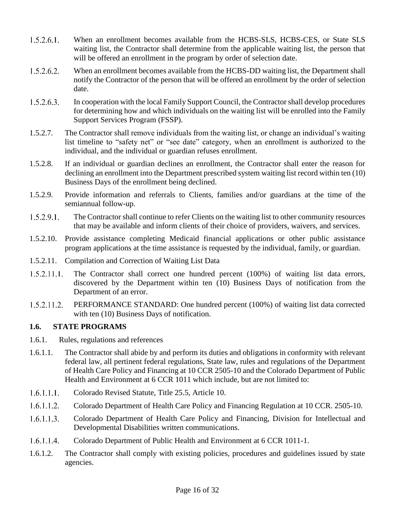- $1.5.2.6.1.$ When an enrollment becomes available from the HCBS-SLS, HCBS-CES, or State SLS waiting list, the Contractor shall determine from the applicable waiting list, the person that will be offered an enrollment in the program by order of selection date.
- $1.5.2.6.2.$ When an enrollment becomes available from the HCBS-DD waiting list, the Department shall notify the Contractor of the person that will be offered an enrollment by the order of selection date.
- $1.5.2.6.3$ In cooperation with the local Family Support Council, the Contractor shall develop procedures for determining how and which individuals on the waiting list will be enrolled into the Family Support Services Program (FSSP).
- 1.5.2.7. The Contractor shall remove individuals from the waiting list, or change an individual's waiting list timeline to "safety net" or "see date" category, when an enrollment is authorized to the individual, and the individual or guardian refuses enrollment.
- 1.5.2.8. If an individual or guardian declines an enrollment, the Contractor shall enter the reason for declining an enrollment into the Department prescribed system waiting list record within ten (10) Business Days of the enrollment being declined.
- 1.5.2.9. Provide information and referrals to Clients, families and/or guardians at the time of the semiannual follow-up.
- $1.5.2.9.1.$ The Contractor shall continue to refer Clients on the waiting list to other community resources that may be available and inform clients of their choice of providers, waivers, and services.
- 1.5.2.10. Provide assistance completing Medicaid financial applications or other public assistance program applications at the time assistance is requested by the individual, family, or guardian.
- 1.5.2.11. Compilation and Correction of Waiting List Data
- The Contractor shall correct one hundred percent (100%) of waiting list data errors,  $1.5.2.11.1.$ discovered by the Department within ten (10) Business Days of notification from the Department of an error.
- $1.5.2.11.2.$ PERFORMANCE STANDARD: One hundred percent (100%) of waiting list data corrected with ten (10) Business Days of notification.

## **1.6. STATE PROGRAMS**

- 1.6.1. Rules, regulations and references
- 1.6.1.1. The Contractor shall abide by and perform its duties and obligations in conformity with relevant federal law, all pertinent federal regulations, State law, rules and regulations of the Department of Health Care Policy and Financing at 10 CCR 2505-10 and the Colorado Department of Public Health and Environment at 6 CCR 1011 which include, but are not limited to:
- $1.6.1.1.1.$ Colorado Revised Statute, Title 25.5, Article 10.
- $1.6.1.1.2.$ Colorado Department of Health Care Policy and Financing Regulation at 10 CCR. 2505-10.
- $1.6.1.1.3.$ Colorado Department of Health Care Policy and Financing, Division for Intellectual and Developmental Disabilities written communications.
- Colorado Department of Public Health and Environment at 6 CCR 1011-1.  $1.6.1.1.4.$
- 1.6.1.2. The Contractor shall comply with existing policies, procedures and guidelines issued by state agencies.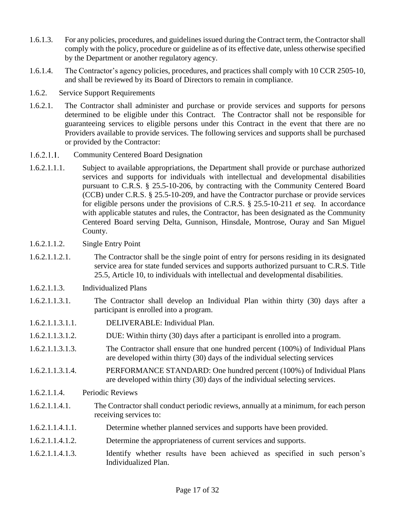- 1.6.1.3. For any policies, procedures, and guidelines issued during the Contract term, the Contractor shall comply with the policy, procedure or guideline as of its effective date, unless otherwise specified by the Department or another regulatory agency.
- 1.6.1.4. The Contractor's agency policies, procedures, and practices shall comply with 10 CCR 2505-10, and shall be reviewed by its Board of Directors to remain in compliance.
- 1.6.2. Service Support Requirements
- 1.6.2.1. The Contractor shall administer and purchase or provide services and supports for persons determined to be eligible under this Contract. The Contractor shall not be responsible for guaranteeing services to eligible persons under this Contract in the event that there are no Providers available to provide services. The following services and supports shall be purchased or provided by the Contractor:
- $1.6.2.1.1.$ Community Centered Board Designation
- 1.6.2.1.1.1. Subject to available appropriations, the Department shall provide or purchase authorized services and supports for individuals with intellectual and developmental disabilities pursuant to C.R.S. § 25.5-10-206, by contracting with the Community Centered Board (CCB) under C.R.S. § 25.5-10-209, and have the Contractor purchase or provide services for eligible persons under the provisions of C.R.S. § 25.5-10-211 *et seq*. In accordance with applicable statutes and rules, the Contractor, has been designated as the Community Centered Board serving Delta, Gunnison, Hinsdale, Montrose, Ouray and San Miguel County.
- 1.6.2.1.1.2. Single Entry Point
- 1.6.2.1.1.2.1. The Contractor shall be the single point of entry for persons residing in its designated service area for state funded services and supports authorized pursuant to C.R.S. Title 25.5, Article 10, to individuals with intellectual and developmental disabilities.
- 1.6.2.1.1.3. Individualized Plans
- 1.6.2.1.1.3.1. The Contractor shall develop an Individual Plan within thirty (30) days after a participant is enrolled into a program.
- 1.6.2.1.1.3.1.1. DELIVERABLE: Individual Plan.
- 1.6.2.1.1.3.1.2. DUE: Within thirty (30) days after a participant is enrolled into a program.
- 1.6.2.1.1.3.1.3. The Contractor shall ensure that one hundred percent (100%) of Individual Plans are developed within thirty (30) days of the individual selecting services
- 1.6.2.1.1.3.1.4. PERFORMANCE STANDARD: One hundred percent (100%) of Individual Plans are developed within thirty (30) days of the individual selecting services.
- 1.6.2.1.1.4. Periodic Reviews
- 1.6.2.1.1.4.1. The Contractor shall conduct periodic reviews, annually at a minimum, for each person receiving services to:
- 1.6.2.1.1.4.1.1. Determine whether planned services and supports have been provided.
- 1.6.2.1.1.4.1.2. Determine the appropriateness of current services and supports.
- 1.6.2.1.1.4.1.3. Identify whether results have been achieved as specified in such person's Individualized Plan.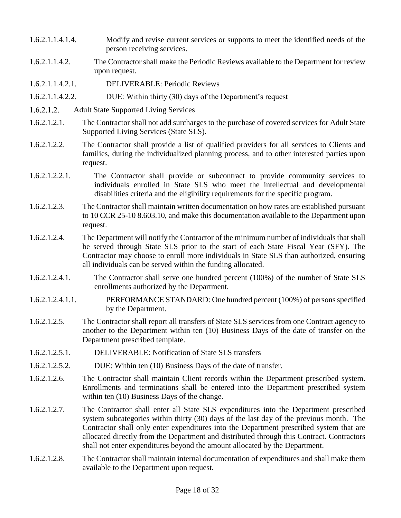- 1.6.2.1.1.4.1.4. Modify and revise current services or supports to meet the identified needs of the person receiving services.
- 1.6.2.1.1.4.2. The Contractor shall make the Periodic Reviews available to the Department for review upon request.
- 1.6.2.1.1.4.2.1. DELIVERABLE: Periodic Reviews
- 1.6.2.1.1.4.2.2. DUE: Within thirty (30) days of the Department's request
- $1.6.2.1.2.$ Adult State Supported Living Services
- 1.6.2.1.2.1. The Contractor shall not add surcharges to the purchase of covered services for Adult State Supported Living Services (State SLS).
- 1.6.2.1.2.2. The Contractor shall provide a list of qualified providers for all services to Clients and families, during the individualized planning process, and to other interested parties upon request.
- 1.6.2.1.2.2.1. The Contractor shall provide or subcontract to provide community services to individuals enrolled in State SLS who meet the intellectual and developmental disabilities criteria and the eligibility requirements for the specific program.
- 1.6.2.1.2.3. The Contractor shall maintain written documentation on how rates are established pursuant to 10 CCR 25-10 8.603.10, and make this documentation available to the Department upon request.
- 1.6.2.1.2.4. The Department will notify the Contractor of the minimum number of individuals that shall be served through State SLS prior to the start of each State Fiscal Year (SFY). The Contractor may choose to enroll more individuals in State SLS than authorized, ensuring all individuals can be served within the funding allocated.
- 1.6.2.1.2.4.1. The Contractor shall serve one hundred percent (100%) of the number of State SLS enrollments authorized by the Department.
- 1.6.2.1.2.4.1.1. PERFORMANCE STANDARD: One hundred percent (100%) of persons specified by the Department.
- 1.6.2.1.2.5. The Contractor shall report all transfers of State SLS services from one Contract agency to another to the Department within ten (10) Business Days of the date of transfer on the Department prescribed template.
- 1.6.2.1.2.5.1. DELIVERABLE: Notification of State SLS transfers
- 1.6.2.1.2.5.2. DUE: Within ten (10) Business Days of the date of transfer.
- 1.6.2.1.2.6. The Contractor shall maintain Client records within the Department prescribed system. Enrollments and terminations shall be entered into the Department prescribed system within ten (10) Business Days of the change.
- 1.6.2.1.2.7. The Contractor shall enter all State SLS expenditures into the Department prescribed system subcategories within thirty (30) days of the last day of the previous month. The Contractor shall only enter expenditures into the Department prescribed system that are allocated directly from the Department and distributed through this Contract. Contractors shall not enter expenditures beyond the amount allocated by the Department.
- 1.6.2.1.2.8. The Contractor shall maintain internal documentation of expenditures and shall make them available to the Department upon request.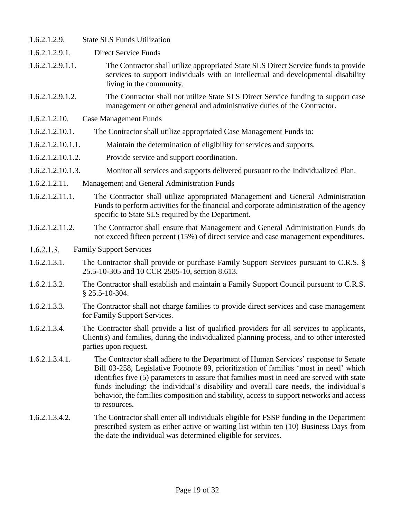| 1.6.2.1.2.9.1.    | <b>Direct Service Funds</b>                                                                                                                                                                                                                                                                                                                                                                                                                                                    |
|-------------------|--------------------------------------------------------------------------------------------------------------------------------------------------------------------------------------------------------------------------------------------------------------------------------------------------------------------------------------------------------------------------------------------------------------------------------------------------------------------------------|
| 1.6.2.1.2.9.1.1.  | The Contractor shall utilize appropriated State SLS Direct Service funds to provide<br>services to support individuals with an intellectual and developmental disability<br>living in the community.                                                                                                                                                                                                                                                                           |
| 1.6.2.1.2.9.1.2.  | The Contractor shall not utilize State SLS Direct Service funding to support case<br>management or other general and administrative duties of the Contractor.                                                                                                                                                                                                                                                                                                                  |
| 1.6.2.1.2.10.     | <b>Case Management Funds</b>                                                                                                                                                                                                                                                                                                                                                                                                                                                   |
| 1.6.2.1.2.10.1.   | The Contractor shall utilize appropriated Case Management Funds to:                                                                                                                                                                                                                                                                                                                                                                                                            |
| 1.6.2.1.2.10.1.1. | Maintain the determination of eligibility for services and supports.                                                                                                                                                                                                                                                                                                                                                                                                           |
| 1.6.2.1.2.10.1.2. | Provide service and support coordination.                                                                                                                                                                                                                                                                                                                                                                                                                                      |
| 1.6.2.1.2.10.1.3. | Monitor all services and supports delivered pursuant to the Individualized Plan.                                                                                                                                                                                                                                                                                                                                                                                               |
| 1.6.2.1.2.11.     | Management and General Administration Funds                                                                                                                                                                                                                                                                                                                                                                                                                                    |
| 1.6.2.1.2.11.1.   | The Contractor shall utilize appropriated Management and General Administration<br>Funds to perform activities for the financial and corporate administration of the agency<br>specific to State SLS required by the Department.                                                                                                                                                                                                                                               |
| 1.6.2.1.2.11.2.   | The Contractor shall ensure that Management and General Administration Funds do<br>not exceed fifteen percent (15%) of direct service and case management expenditures.                                                                                                                                                                                                                                                                                                        |
| 1.6.2.1.3.        | <b>Family Support Services</b>                                                                                                                                                                                                                                                                                                                                                                                                                                                 |
| 1.6.2.1.3.1.      | The Contractor shall provide or purchase Family Support Services pursuant to C.R.S. §<br>25.5-10-305 and 10 CCR 2505-10, section 8.613.                                                                                                                                                                                                                                                                                                                                        |
| 1.6.2.1.3.2.      | The Contractor shall establish and maintain a Family Support Council pursuant to C.R.S.<br>$$25.5 - 10 - 304.$                                                                                                                                                                                                                                                                                                                                                                 |
| 1.6.2.1.3.3.      | The Contractor shall not charge families to provide direct services and case management<br>for Family Support Services.                                                                                                                                                                                                                                                                                                                                                        |
| 1.6.2.1.3.4.      | The Contractor shall provide a list of qualified providers for all services to applicants,<br>Client(s) and families, during the individualized planning process, and to other interested<br>parties upon request.                                                                                                                                                                                                                                                             |
| 1.6.2.1.3.4.1.    | The Contractor shall adhere to the Department of Human Services' response to Senate<br>Bill 03-258, Legislative Footnote 89, prioritization of families 'most in need' which<br>identifies five (5) parameters to assure that families most in need are served with state<br>funds including: the individual's disability and overall care needs, the individual's<br>behavior, the families composition and stability, access to support networks and access<br>to resources. |
| 1.6.2.1.3.4.2.    | The Contractor shall enter all individuals eligible for FSSP funding in the Department<br>prescribed system as either active or waiting list within ten (10) Business Days from<br>the date the individual was determined eligible for services.                                                                                                                                                                                                                               |
|                   |                                                                                                                                                                                                                                                                                                                                                                                                                                                                                |

1.6.2.1.2.9. State SLS Funds Utilization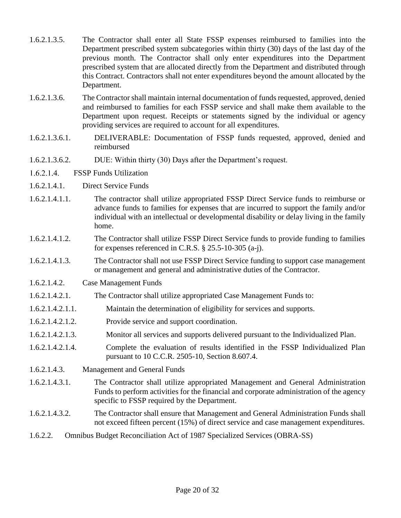- 1.6.2.1.3.5. The Contractor shall enter all State FSSP expenses reimbursed to families into the Department prescribed system subcategories within thirty (30) days of the last day of the previous month. The Contractor shall only enter expenditures into the Department prescribed system that are allocated directly from the Department and distributed through this Contract. Contractors shall not enter expenditures beyond the amount allocated by the Department.
- 1.6.2.1.3.6. The Contractor shall maintain internal documentation of funds requested, approved, denied and reimbursed to families for each FSSP service and shall make them available to the Department upon request. Receipts or statements signed by the individual or agency providing services are required to account for all expenditures.
- 1.6.2.1.3.6.1. DELIVERABLE: Documentation of FSSP funds requested, approved, denied and reimbursed
- 1.6.2.1.3.6.2. DUE: Within thirty (30) Days after the Department's request.
- $1.6.2.1.4.$ FSSP Funds Utilization
- 1.6.2.1.4.1. Direct Service Funds
- 1.6.2.1.4.1.1. The contractor shall utilize appropriated FSSP Direct Service funds to reimburse or advance funds to families for expenses that are incurred to support the family and/or individual with an intellectual or developmental disability or delay living in the family home.
- 1.6.2.1.4.1.2. The Contractor shall utilize FSSP Direct Service funds to provide funding to families for expenses referenced in C.R.S.  $\S$  25.5-10-305 (a-j).
- 1.6.2.1.4.1.3. The Contractor shall not use FSSP Direct Service funding to support case management or management and general and administrative duties of the Contractor.
- 1.6.2.1.4.2. Case Management Funds
- 1.6.2.1.4.2.1. The Contractor shall utilize appropriated Case Management Funds to:
- 1.6.2.1.4.2.1.1. Maintain the determination of eligibility for services and supports.
- 1.6.2.1.4.2.1.2. Provide service and support coordination.
- 1.6.2.1.4.2.1.3. Monitor all services and supports delivered pursuant to the Individualized Plan.
- 1.6.2.1.4.2.1.4. Complete the evaluation of results identified in the FSSP Individualized Plan pursuant to 10 C.C.R. 2505-10, Section 8.607.4.
- 1.6.2.1.4.3. Management and General Funds
- 1.6.2.1.4.3.1. The Contractor shall utilize appropriated Management and General Administration Funds to perform activities for the financial and corporate administration of the agency specific to FSSP required by the Department.
- 1.6.2.1.4.3.2. The Contractor shall ensure that Management and General Administration Funds shall not exceed fifteen percent (15%) of direct service and case management expenditures.
- 1.6.2.2. Omnibus Budget Reconciliation Act of 1987 Specialized Services (OBRA-SS)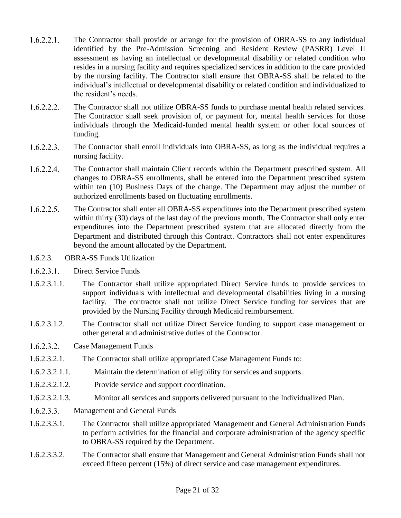- $1.6.2.2.1.$ The Contractor shall provide or arrange for the provision of OBRA-SS to any individual identified by the Pre-Admission Screening and Resident Review (PASRR) Level II assessment as having an intellectual or developmental disability or related condition who resides in a nursing facility and requires specialized services in addition to the care provided by the nursing facility. The Contractor shall ensure that OBRA-SS shall be related to the individual's intellectual or developmental disability or related condition and individualized to the resident's needs.
- $1.6.2.2.2.$ The Contractor shall not utilize OBRA-SS funds to purchase mental health related services. The Contractor shall seek provision of, or payment for, mental health services for those individuals through the Medicaid-funded mental health system or other local sources of funding.
- $1.6.2.2.3.$ The Contractor shall enroll individuals into OBRA-SS, as long as the individual requires a nursing facility.
- $1.6.2.2.4.$ The Contractor shall maintain Client records within the Department prescribed system. All changes to OBRA-SS enrollments, shall be entered into the Department prescribed system within ten (10) Business Days of the change. The Department may adjust the number of authorized enrollments based on fluctuating enrollments.
- $1.6.2.2.5.$ The Contractor shall enter all OBRA-SS expenditures into the Department prescribed system within thirty (30) days of the last day of the previous month. The Contractor shall only enter expenditures into the Department prescribed system that are allocated directly from the Department and distributed through this Contract. Contractors shall not enter expenditures beyond the amount allocated by the Department.
- 1.6.2.3. OBRA-SS Funds Utilization
- $1.6.2.3.1$ . Direct Service Funds
- 1.6.2.3.1.1. The Contractor shall utilize appropriated Direct Service funds to provide services to support individuals with intellectual and developmental disabilities living in a nursing facility. The contractor shall not utilize Direct Service funding for services that are provided by the Nursing Facility through Medicaid reimbursement.
- 1.6.2.3.1.2. The Contractor shall not utilize Direct Service funding to support case management or other general and administrative duties of the Contractor.
- Case Management Funds  $1.6.2.3.2.$
- 1.6.2.3.2.1. The Contractor shall utilize appropriated Case Management Funds to:
- 1.6.2.3.2.1.1. Maintain the determination of eligibility for services and supports.
- 1.6.2.3.2.1.2. Provide service and support coordination.
- 1.6.2.3.2.1.3. Monitor all services and supports delivered pursuant to the Individualized Plan.
- $1.6.2.3.3.$ Management and General Funds
- 1.6.2.3.3.1. The Contractor shall utilize appropriated Management and General Administration Funds to perform activities for the financial and corporate administration of the agency specific to OBRA-SS required by the Department.
- 1.6.2.3.3.2. The Contractor shall ensure that Management and General Administration Funds shall not exceed fifteen percent (15%) of direct service and case management expenditures.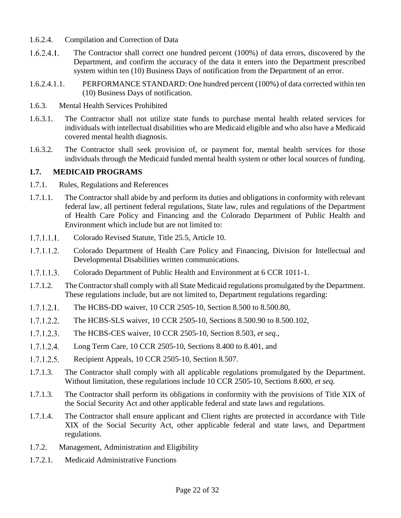- 1.6.2.4. Compilation and Correction of Data
- $1.6.2.4.1.$ The Contractor shall correct one hundred percent (100%) of data errors, discovered by the Department, and confirm the accuracy of the data it enters into the Department prescribed system within ten (10) Business Days of notification from the Department of an error.
- 1.6.2.4.1.1. PERFORMANCE STANDARD: One hundred percent (100%) of data corrected within ten (10) Business Days of notification.
- 1.6.3. Mental Health Services Prohibited
- 1.6.3.1. The Contractor shall not utilize state funds to purchase mental health related services for individuals with intellectual disabilities who are Medicaid eligible and who also have a Medicaid covered mental health diagnosis.
- 1.6.3.2. The Contractor shall seek provision of, or payment for, mental health services for those individuals through the Medicaid funded mental health system or other local sources of funding.

#### **1.7. MEDICAID PROGRAMS**

- 1.7.1. Rules, Regulations and References
- 1.7.1.1. The Contractor shall abide by and perform its duties and obligations in conformity with relevant federal law, all pertinent federal regulations, State law, rules and regulations of the Department of Health Care Policy and Financing and the Colorado Department of Public Health and Environment which include but are not limited to:
- $1.7.1.1.1.$ Colorado Revised Statute, Title 25.5, Article 10.
- $1.7.1.1.2$ Colorado Department of Health Care Policy and Financing, Division for Intellectual and Developmental Disabilities written communications.
- $1.7.1.1.3.$ Colorado Department of Public Health and Environment at 6 CCR 1011-1.
- 1.7.1.2. The Contractor shall comply with all State Medicaid regulations promulgated by the Department. These regulations include, but are not limited to, Department regulations regarding:
- $1.7.1.2.1.$ The HCBS-DD waiver, 10 CCR 2505-10, Section 8.500 to 8.500.80,
- The HCBS-SLS waiver, 10 CCR 2505-10, Sections 8.500.90 to 8.500.102,  $1.7.1.2.2.$
- $1.7.1.2.3.$ The HCBS-CES waiver, 10 CCR 2505-10, Section 8.503, *et seq.*,
- $1.7.1.2.4.$ Long Term Care, 10 CCR 2505-10, Sections 8.400 to 8.401, and
- $1.7.1.2.5.$ Recipient Appeals, 10 CCR 2505-10, Section 8.507.
- 1.7.1.3. The Contractor shall comply with all applicable regulations promulgated by the Department. Without limitation, these regulations include 10 CCR 2505-10, Sections 8.600, *et seq.*
- 1.7.1.3. The Contractor shall perform its obligations in conformity with the provisions of Title XIX of the Social Security Act and other applicable federal and state laws and regulations.
- 1.7.1.4. The Contractor shall ensure applicant and Client rights are protected in accordance with Title XIX of the Social Security Act, other applicable federal and state laws, and Department regulations.
- 1.7.2. Management, Administration and Eligibility
- 1.7.2.1. Medicaid Administrative Functions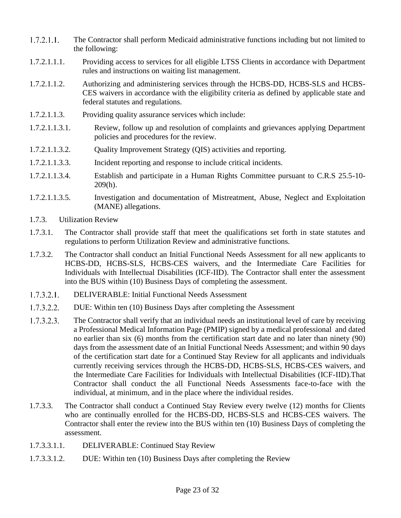- $1.7.2.1.1.$ The Contractor shall perform Medicaid administrative functions including but not limited to the following:
- 1.7.2.1.1.1. Providing access to services for all eligible LTSS Clients in accordance with Department rules and instructions on waiting list management.
- 1.7.2.1.1.2. Authorizing and administering services through the HCBS-DD, HCBS-SLS and HCBS-CES waivers in accordance with the eligibility criteria as defined by applicable state and federal statutes and regulations.
- 1.7.2.1.1.3. Providing quality assurance services which include:
- 1.7.2.1.1.3.1. Review, follow up and resolution of complaints and grievances applying Department policies and procedures for the review.
- 1.7.2.1.1.3.2. Quality Improvement Strategy (QIS) activities and reporting.
- 1.7.2.1.1.3.3. Incident reporting and response to include critical incidents.
- 1.7.2.1.1.3.4. Establish and participate in a Human Rights Committee pursuant to C.R.S 25.5-10- 209(h).
- 1.7.2.1.1.3.5. Investigation and documentation of Mistreatment, Abuse, Neglect and Exploitation (MANE) allegations.
- 1.7.3. Utilization Review
- 1.7.3.1. The Contractor shall provide staff that meet the qualifications set forth in state statutes and regulations to perform Utilization Review and administrative functions.
- 1.7.3.2. The Contractor shall conduct an Initial Functional Needs Assessment for all new applicants to HCBS-DD, HCBS-SLS, HCBS-CES waivers, and the Intermediate Care Facilities for Individuals with Intellectual Disabilities (ICF-IID). The Contractor shall enter the assessment into the BUS within (10) Business Days of completing the assessment.
- $1.7.3.2.1.$ DELIVERABLE: Initial Functional Needs Assessment
- $1.7.3.2.2.$ DUE: Within ten (10) Business Days after completing the Assessment
- $1.7.3.2.3.$ The Contractor shall verify that an individual needs an institutional level of care by receiving a Professional Medical Information Page (PMIP) signed by a medical professional and dated no earlier than six (6) months from the certification start date and no later than ninety (90) days from the assessment date of an Initial Functional Needs Assessment; and within 90 days of the certification start date for a Continued Stay Review for all applicants and individuals currently receiving services through the HCBS-DD, HCBS-SLS, HCBS-CES waivers, and the Intermediate Care Facilities for Individuals with Intellectual Disabilities (ICF-IID).That Contractor shall conduct the all Functional Needs Assessments face-to-face with the individual, at minimum, and in the place where the individual resides.
- 1.7.3.3. The Contractor shall conduct a Continued Stay Review every twelve (12) months for Clients who are continually enrolled for the HCBS-DD, HCBS-SLS and HCBS-CES waivers. The Contractor shall enter the review into the BUS within ten (10) Business Days of completing the assessment.
- 1.7.3.3.1.1. DELIVERABLE: Continued Stay Review
- 1.7.3.3.1.2. DUE: Within ten (10) Business Days after completing the Review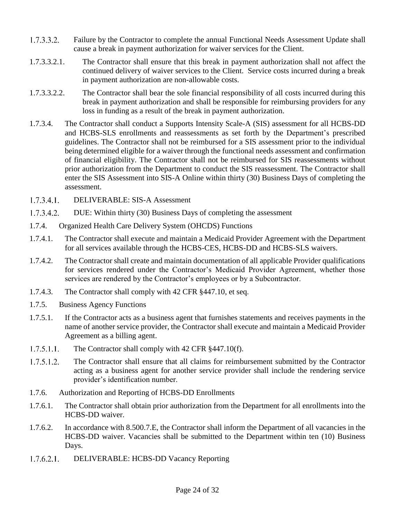- $1.7.3.3.2.$ Failure by the Contractor to complete the annual Functional Needs Assessment Update shall cause a break in payment authorization for waiver services for the Client.
- 1.7.3.3.2.1. The Contractor shall ensure that this break in payment authorization shall not affect the continued delivery of waiver services to the Client. Service costs incurred during a break in payment authorization are non-allowable costs.
- 1.7.3.3.2.2. The Contractor shall bear the sole financial responsibility of all costs incurred during this break in payment authorization and shall be responsible for reimbursing providers for any loss in funding as a result of the break in payment authorization.
- 1.7.3.4. The Contractor shall conduct a Supports Intensity Scale-A (SIS) assessment for all HCBS-DD and HCBS-SLS enrollments and reassessments as set forth by the Department's prescribed guidelines. The Contractor shall not be reimbursed for a SIS assessment prior to the individual being determined eligible for a waiver through the functional needs assessment and confirmation of financial eligibility. The Contractor shall not be reimbursed for SIS reassessments without prior authorization from the Department to conduct the SIS reassessment. The Contractor shall enter the SIS Assessment into SIS-A Online within thirty (30) Business Days of completing the assessment.
- $1.7.3.4.1.$ DELIVERABLE: SIS-A Assessment
- $1.7.3.4.2.$ DUE: Within thirty (30) Business Days of completing the assessment
- 1.7.4. Organized Health Care Delivery System (OHCDS) Functions
- 1.7.4.1. The Contractor shall execute and maintain a Medicaid Provider Agreement with the Department for all services available through the HCBS-CES, HCBS-DD and HCBS-SLS waivers.
- 1.7.4.2. The Contractor shall create and maintain documentation of all applicable Provider qualifications for services rendered under the Contractor's Medicaid Provider Agreement, whether those services are rendered by the Contractor's employees or by a Subcontractor.
- 1.7.4.3. The Contractor shall comply with 42 CFR §447.10, et seq.
- 1.7.5. Business Agency Functions
- 1.7.5.1. If the Contractor acts as a business agent that furnishes statements and receives payments in the name of another service provider, the Contractor shall execute and maintain a Medicaid Provider Agreement as a billing agent.
- $1.7.5.1.1.$ The Contractor shall comply with 42 CFR §447.10(f).
- $1.7.5.1.2.$ The Contractor shall ensure that all claims for reimbursement submitted by the Contractor acting as a business agent for another service provider shall include the rendering service provider's identification number.
- 1.7.6. Authorization and Reporting of HCBS-DD Enrollments
- 1.7.6.1. The Contractor shall obtain prior authorization from the Department for all enrollments into the HCBS-DD waiver.
- 1.7.6.2. In accordance with 8.500.7.E, the Contractor shall inform the Department of all vacancies in the HCBS-DD waiver. Vacancies shall be submitted to the Department within ten (10) Business Days.
- $1.7.6.2.1.$ DELIVERABLE: HCBS-DD Vacancy Reporting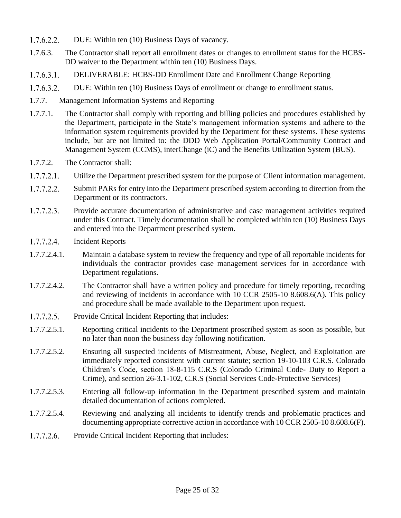- $1.7.6.2.2.$ DUE: Within ten (10) Business Days of vacancy.
- 1.7.6.3. The Contractor shall report all enrollment dates or changes to enrollment status for the HCBS-DD waiver to the Department within ten (10) Business Days.
- $1.7.6.3.1.$ DELIVERABLE: HCBS-DD Enrollment Date and Enrollment Change Reporting
- $1.7.6.3.2.$ DUE: Within ten (10) Business Days of enrollment or change to enrollment status.
- 1.7.7. Management Information Systems and Reporting
- 1.7.7.1. The Contractor shall comply with reporting and billing policies and procedures established by the Department, participate in the State's management information systems and adhere to the information system requirements provided by the Department for these systems. These systems include, but are not limited to: the DDD Web Application Portal/Community Contract and Management System (CCMS), interChange (iC) and the Benefits Utilization System (BUS).
- 1.7.7.2. The Contractor shall:
- Utilize the Department prescribed system for the purpose of Client information management.  $1.7.7.2.1.$
- $1.7.7.2.2.$ Submit PARs for entry into the Department prescribed system according to direction from the Department or its contractors.
- $1.7.7.2.3.$ Provide accurate documentation of administrative and case management activities required under this Contract. Timely documentation shall be completed within ten (10) Business Days and entered into the Department prescribed system.
- $1.7.7.2.4.$ Incident Reports
- 1.7.7.2.4.1. Maintain a database system to review the frequency and type of all reportable incidents for individuals the contractor provides case management services for in accordance with Department regulations.
- 1.7.7.2.4.2. The Contractor shall have a written policy and procedure for timely reporting, recording and reviewing of incidents in accordance with 10 CCR 2505-10 8.608.6(A). This policy and procedure shall be made available to the Department upon request.
- $1.7.7.2.5.$ Provide Critical Incident Reporting that includes:
- 1.7.7.2.5.1. Reporting critical incidents to the Department proscribed system as soon as possible, but no later than noon the business day following notification.
- 1.7.7.2.5.2. Ensuring all suspected incidents of Mistreatment, Abuse, Neglect, and Exploitation are immediately reported consistent with current statute; section 19-10-103 C.R.S. Colorado Children's Code, section 18-8-115 C.R.S (Colorado Criminal Code- Duty to Report a Crime), and section 26-3.1-102, C.R.S (Social Services Code-Protective Services)
- 1.7.7.2.5.3. Entering all follow-up information in the Department prescribed system and maintain detailed documentation of actions completed.
- 1.7.7.2.5.4. Reviewing and analyzing all incidents to identify trends and problematic practices and documenting appropriate corrective action in accordance with 10 CCR 2505-10 8.608.6(F).
- $1.7.7.2.6$ Provide Critical Incident Reporting that includes: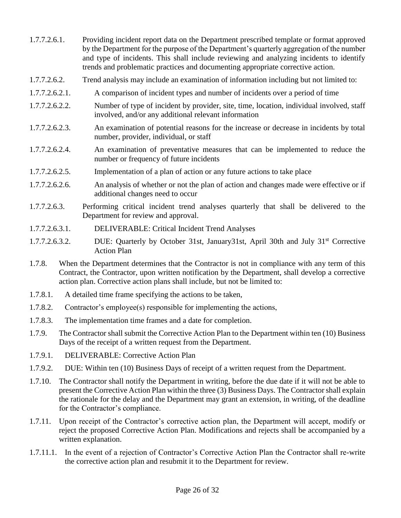- 1.7.7.2.6.1. Providing incident report data on the Department prescribed template or format approved by the Department for the purpose of the Department's quarterly aggregation of the number and type of incidents. This shall include reviewing and analyzing incidents to identify trends and problematic practices and documenting appropriate corrective action.
- 1.7.7.2.6.2. Trend analysis may include an examination of information including but not limited to:
- 1.7.7.2.6.2.1. A comparison of incident types and number of incidents over a period of time
- 1.7.7.2.6.2.2. Number of type of incident by provider, site, time, location, individual involved, staff involved, and/or any additional relevant information
- 1.7.7.2.6.2.3. An examination of potential reasons for the increase or decrease in incidents by total number, provider, individual, or staff
- 1.7.7.2.6.2.4. An examination of preventative measures that can be implemented to reduce the number or frequency of future incidents
- 1.7.7.2.6.2.5. Implementation of a plan of action or any future actions to take place
- 1.7.7.2.6.2.6. An analysis of whether or not the plan of action and changes made were effective or if additional changes need to occur
- 1.7.7.2.6.3. Performing critical incident trend analyses quarterly that shall be delivered to the Department for review and approval.
- 1.7.7.2.6.3.1. DELIVERABLE: Critical Incident Trend Analyses
- 1.7.7.2.6.3.2. DUE: Quarterly by October 31st, January31st, April 30th and July 31<sup>st</sup> Corrective Action Plan
- 1.7.8. When the Department determines that the Contractor is not in compliance with any term of this Contract, the Contractor, upon written notification by the Department, shall develop a corrective action plan. Corrective action plans shall include, but not be limited to:
- 1.7.8.1. A detailed time frame specifying the actions to be taken,
- 1.7.8.2. Contractor's employee(s) responsible for implementing the actions,
- 1.7.8.3. The implementation time frames and a date for completion.
- 1.7.9. The Contractor shall submit the Corrective Action Plan to the Department within ten (10) Business Days of the receipt of a written request from the Department.
- 1.7.9.1. DELIVERABLE: Corrective Action Plan
- 1.7.9.2. DUE: Within ten (10) Business Days of receipt of a written request from the Department.
- 1.7.10. The Contractor shall notify the Department in writing, before the due date if it will not be able to present the Corrective Action Plan within the three (3) Business Days. The Contractor shall explain the rationale for the delay and the Department may grant an extension, in writing, of the deadline for the Contractor's compliance.
- 1.7.11. Upon receipt of the Contractor's corrective action plan, the Department will accept, modify or reject the proposed Corrective Action Plan. Modifications and rejects shall be accompanied by a written explanation.
- 1.7.11.1. In the event of a rejection of Contractor's Corrective Action Plan the Contractor shall re-write the corrective action plan and resubmit it to the Department for review.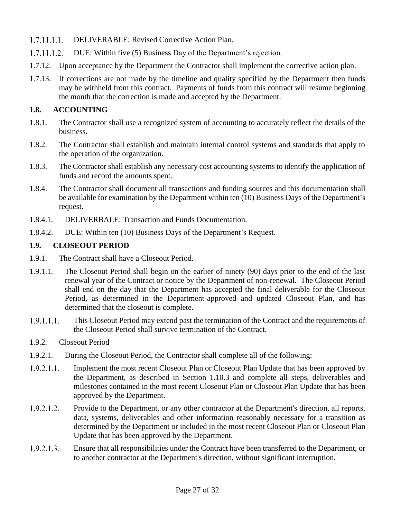- $1.7.11.1.1.$ DELIVERABLE: Revised Corrective Action Plan.
- $1.7.11.1.2.$ DUE: Within five (5) Business Day of the Department's rejection.
- 1.7.12. Upon acceptance by the Department the Contractor shall implement the corrective action plan.
- 1.7.13. If corrections are not made by the timeline and quality specified by the Department then funds may be withheld from this contract. Payments of funds from this contract will resume beginning the month that the correction is made and accepted by the Department.

# **1.8. ACCOUNTING**

- 1.8.1. The Contractor shall use a recognized system of accounting to accurately reflect the details of the business.
- 1.8.2. The Contractor shall establish and maintain internal control systems and standards that apply to the operation of the organization.
- 1.8.3. The Contractor shall establish any necessary cost accounting systems to identify the application of funds and record the amounts spent.
- 1.8.4. The Contractor shall document all transactions and funding sources and this documentation shall be available for examination by the Department within ten (10) Business Days of the Department's request.
- 1.8.4.1. DELIVERBALE: Transaction and Funds Documentation.
- 1.8.4.2. DUE: Within ten (10) Business Days of the Department's Request.

# **1.9. CLOSEOUT PERIOD**

- 1.9.1. The Contract shall have a Closeout Period.
- 1.9.1.1. The Closeout Period shall begin on the earlier of ninety (90) days prior to the end of the last renewal year of the Contract or notice by the Department of non-renewal. The Closeout Period shall end on the day that the Department has accepted the final deliverable for the Closeout Period, as determined in the Department-approved and updated Closeout Plan, and has determined that the closeout is complete.
- $1.9.1.1.1.$ This Closeout Period may extend past the termination of the Contract and the requirements of the Closeout Period shall survive termination of the Contract.
- 1.9.2. Closeout Period
- 1.9.2.1. During the Closeout Period, the Contractor shall complete all of the following:
- $1.9.2.1.1.$ Implement the most recent Closeout Plan or Closeout Plan Update that has been approved by the Department, as described in Section 1.10.3 and complete all steps, deliverables and milestones contained in the most recent Closeout Plan or Closeout Plan Update that has been approved by the Department.
- $1.9.2.1.2.$ Provide to the Department, or any other contractor at the Department's direction, all reports, data, systems, deliverables and other information reasonably necessary for a transition as determined by the Department or included in the most recent Closeout Plan or Closeout Plan Update that has been approved by the Department.
- Ensure that all responsibilities under the Contract have been transferred to the Department, or  $1.9.2.1.3.$ to another contractor at the Department's direction, without significant interruption.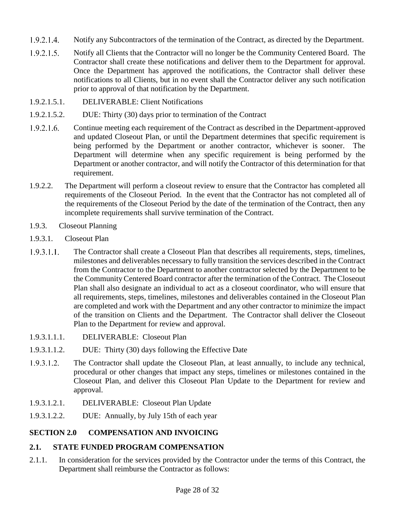- Notify any Subcontractors of the termination of the Contract, as directed by the Department.  $1.9.2.1.4.$
- $1.9.2.1.5.$ Notify all Clients that the Contractor will no longer be the Community Centered Board. The Contractor shall create these notifications and deliver them to the Department for approval. Once the Department has approved the notifications, the Contractor shall deliver these notifications to all Clients, but in no event shall the Contractor deliver any such notification prior to approval of that notification by the Department.
- 1.9.2.1.5.1. DELIVERABLE: Client Notifications
- 1.9.2.1.5.2. DUE: Thirty (30) days prior to termination of the Contract
- $1.9.2.1.6.$ Continue meeting each requirement of the Contract as described in the Department-approved and updated Closeout Plan, or until the Department determines that specific requirement is being performed by the Department or another contractor, whichever is sooner. The Department will determine when any specific requirement is being performed by the Department or another contractor, and will notify the Contractor of this determination for that requirement.
- 1.9.2.2. The Department will perform a closeout review to ensure that the Contractor has completed all requirements of the Closeout Period. In the event that the Contractor has not completed all of the requirements of the Closeout Period by the date of the termination of the Contract, then any incomplete requirements shall survive termination of the Contract.
- 1.9.3. Closeout Planning
- 1.9.3.1. Closeout Plan
- $1.9.3.1.1.$ The Contractor shall create a Closeout Plan that describes all requirements, steps, timelines, milestones and deliverables necessary to fully transition the services described in the Contract from the Contractor to the Department to another contractor selected by the Department to be the Community Centered Board contractor after the termination of the Contract. The Closeout Plan shall also designate an individual to act as a closeout coordinator, who will ensure that all requirements, steps, timelines, milestones and deliverables contained in the Closeout Plan are completed and work with the Department and any other contractor to minimize the impact of the transition on Clients and the Department. The Contractor shall deliver the Closeout Plan to the Department for review and approval.
- 1.9.3.1.1.1. DELIVERABLE: Closeout Plan
- 1.9.3.1.1.2. DUE: Thirty (30) days following the Effective Date
- $1.9.3.1.2.$ The Contractor shall update the Closeout Plan, at least annually, to include any technical, procedural or other changes that impact any steps, timelines or milestones contained in the Closeout Plan, and deliver this Closeout Plan Update to the Department for review and approval.
- 1.9.3.1.2.1. DELIVERABLE: Closeout Plan Update
- 1.9.3.1.2.2. DUE: Annually, by July 15th of each year

#### **SECTION 2.0 COMPENSATION AND INVOICING**

## **2.1. STATE FUNDED PROGRAM COMPENSATION**

2.1.1. In consideration for the services provided by the Contractor under the terms of this Contract, the Department shall reimburse the Contractor as follows: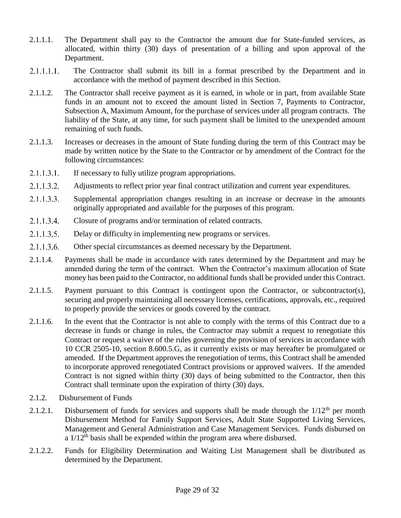- 2.1.1.1. The Department shall pay to the Contractor the amount due for State-funded services, as allocated, within thirty (30) days of presentation of a billing and upon approval of the Department.
- $2.1.1.1.1.$ The Contractor shall submit its bill in a format prescribed by the Department and in accordance with the method of payment described in this Section.
- 2.1.1.2. The Contractor shall receive payment as it is earned, in whole or in part, from available State funds in an amount not to exceed the amount listed in Section 7, Payments to Contractor, Subsection A, Maximum Amount, for the purchase of services under all program contracts. The liability of the State, at any time, for such payment shall be limited to the unexpended amount remaining of such funds.
- 2.1.1.3. Increases or decreases in the amount of State funding during the term of this Contract may be made by written notice by the State to the Contractor or by amendment of the Contract for the following circumstances:
- $2.1.1.3.1.$ If necessary to fully utilize program appropriations.
- $2.1.1.3.2.$ Adjustments to reflect prior year final contract utilization and current year expenditures.
- $2.1.1.3.3.$ Supplemental appropriation changes resulting in an increase or decrease in the amounts originally appropriated and available for the purposes of this program.
- $2.1.1.3.4.$ Closure of programs and/or termination of related contracts.
- $2.1.1.3.5.$ Delay or difficulty in implementing new programs or services.
- $2.1.1.3.6.$ Other special circumstances as deemed necessary by the Department.
- 2.1.1.4. Payments shall be made in accordance with rates determined by the Department and may be amended during the term of the contract. When the Contractor's maximum allocation of State money has been paid to the Contractor, no additional funds shall be provided under this Contract.
- 2.1.1.5. Payment pursuant to this Contract is contingent upon the Contractor, or subcontractor(s), securing and properly maintaining all necessary licenses, certifications, approvals, etc., required to properly provide the services or goods covered by the contract.
- 2.1.1.6. In the event that the Contractor is not able to comply with the terms of this Contract due to a decrease in funds or change in rules, the Contractor may submit a request to renegotiate this Contract or request a waiver of the rules governing the provision of services in accordance with 10 CCR 2505-10, section 8.600.5.G, as it currently exists or may hereafter be promulgated or amended. If the Department approves the renegotiation of terms, this Contract shall be amended to incorporate approved renegotiated Contract provisions or approved waivers. If the amended Contract is not signed within thirty (30) days of being submitted to the Contractor, then this Contract shall terminate upon the expiration of thirty (30) days.
- 2.1.2. Disbursement of Funds
- 2.1.2.1. Disbursement of funds for services and supports shall be made through the  $1/12<sup>th</sup>$  per month Disbursement Method for Family Support Services, Adult State Supported Living Services, Management and General Administration and Case Management Services. Funds disbursed on a 1/12<sup>th</sup> basis shall be expended within the program area where disbursed.
- 2.1.2.2. Funds for Eligibility Determination and Waiting List Management shall be distributed as determined by the Department.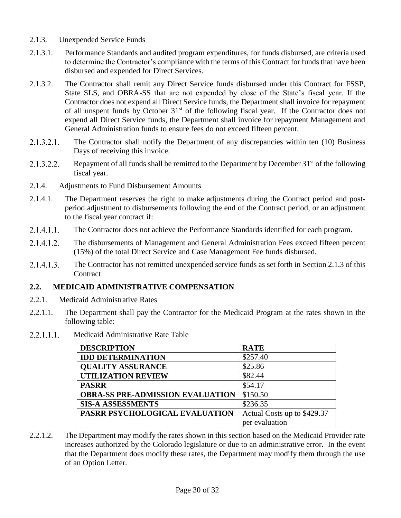- 2.1.3. Unexpended Service Funds
- 2.1.3.1. Performance Standards and audited program expenditures, for funds disbursed, are criteria used to determine the Contractor's compliance with the terms of this Contract for funds that have been disbursed and expended for Direct Services.
- 2.1.3.2. The Contractor shall remit any Direct Service funds disbursed under this Contract for FSSP, State SLS, and OBRA-SS that are not expended by close of the State's fiscal year. If the Contractor does not expend all Direct Service funds, the Department shall invoice for repayment of all unspent funds by October 31<sup>st</sup> of the following fiscal year. If the Contractor does not expend all Direct Service funds, the Department shall invoice for repayment Management and General Administration funds to ensure fees do not exceed fifteen percent.
- $2.1.3.2.1.$ The Contractor shall notify the Department of any discrepancies within ten (10) Business Days of receiving this invoice.
- Repayment of all funds shall be remitted to the Department by December  $31<sup>st</sup>$  of the following  $2.1.3.2.2.$ fiscal year.
- 2.1.4. Adjustments to Fund Disbursement Amounts
- 2.1.4.1. The Department reserves the right to make adjustments during the Contract period and postperiod adjustment to disbursements following the end of the Contract period, or an adjustment to the fiscal year contract if:
- $2.1.4.1.1.$ The Contractor does not achieve the Performance Standards identified for each program.
- $2.1.4.1.2.$ The disbursements of Management and General Administration Fees exceed fifteen percent (15%) of the total Direct Service and Case Management Fee funds disbursed.
- $2.1.4.1.3.$ The Contractor has not remitted unexpended service funds as set forth in Section 2.1.3 of this **Contract**

## **2.2. MEDICAID ADMINISTRATIVE COMPENSATION**

- 2.2.1. Medicaid Administrative Rates
- 2.2.1.1. The Department shall pay the Contractor for the Medicaid Program at the rates shown in the following table:
- $2.2.1.1.1.$ Medicaid Administrative Rate Table

| <b>DESCRIPTION</b>                      | <b>RATE</b>                 |
|-----------------------------------------|-----------------------------|
| <b>IDD DETERMINATION</b>                | \$257.40                    |
| <b>QUALITY ASSURANCE</b>                | \$25.86                     |
| <b>UTILIZATION REVIEW</b>               | \$82.44                     |
| <b>PASRR</b>                            | \$54.17                     |
| <b>OBRA-SS PRE-ADMISSION EVALUATION</b> | \$150.50                    |
| <b>SIS-A ASSESSMENTS</b>                | \$236.35                    |
| PASRR PSYCHOLOGICAL EVALUATION          | Actual Costs up to \$429.37 |
|                                         | per evaluation              |

2.2.1.2. The Department may modify the rates shown in this section based on the Medicaid Provider rate increases authorized by the Colorado legislature or due to an administrative error. In the event that the Department does modify these rates, the Department may modify them through the use of an Option Letter.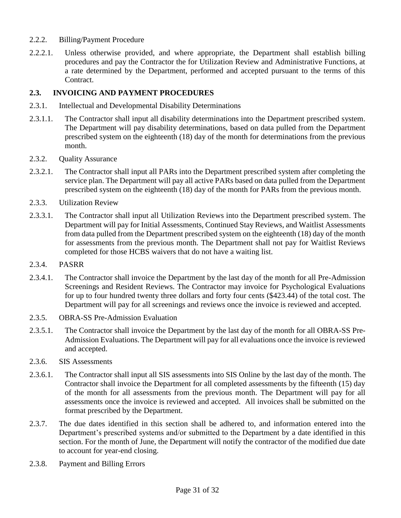#### 2.2.2. Billing/Payment Procedure

2.2.2.1. Unless otherwise provided, and where appropriate, the Department shall establish billing procedures and pay the Contractor the for Utilization Review and Administrative Functions, at a rate determined by the Department, performed and accepted pursuant to the terms of this Contract.

# **2.3. INVOICING AND PAYMENT PROCEDURES**

- 2.3.1. Intellectual and Developmental Disability Determinations
- 2.3.1.1. The Contractor shall input all disability determinations into the Department prescribed system. The Department will pay disability determinations, based on data pulled from the Department prescribed system on the eighteenth (18) day of the month for determinations from the previous month.
- 2.3.2. Quality Assurance
- 2.3.2.1. The Contractor shall input all PARs into the Department prescribed system after completing the service plan. The Department will pay all active PARs based on data pulled from the Department prescribed system on the eighteenth (18) day of the month for PARs from the previous month.
- 2.3.3. Utilization Review
- 2.3.3.1. The Contractor shall input all Utilization Reviews into the Department prescribed system. The Department will pay for Initial Assessments, Continued Stay Reviews, and Waitlist Assessments from data pulled from the Department prescribed system on the eighteenth (18) day of the month for assessments from the previous month. The Department shall not pay for Waitlist Reviews completed for those HCBS waivers that do not have a waiting list.
- 2.3.4. PASRR
- 2.3.4.1. The Contractor shall invoice the Department by the last day of the month for all Pre-Admission Screenings and Resident Reviews. The Contractor may invoice for Psychological Evaluations for up to four hundred twenty three dollars and forty four cents (\$423.44) of the total cost. The Department will pay for all screenings and reviews once the invoice is reviewed and accepted.
- 2.3.5. OBRA-SS Pre-Admission Evaluation
- 2.3.5.1. The Contractor shall invoice the Department by the last day of the month for all OBRA-SS Pre-Admission Evaluations. The Department will pay for all evaluations once the invoice is reviewed and accepted.
- 2.3.6. SIS Assessments
- 2.3.6.1. The Contractor shall input all SIS assessments into SIS Online by the last day of the month. The Contractor shall invoice the Department for all completed assessments by the fifteenth (15) day of the month for all assessments from the previous month. The Department will pay for all assessments once the invoice is reviewed and accepted. All invoices shall be submitted on the format prescribed by the Department.
- 2.3.7. The due dates identified in this section shall be adhered to, and information entered into the Department's prescribed systems and/or submitted to the Department by a date identified in this section. For the month of June, the Department will notify the contractor of the modified due date to account for year-end closing.
- 2.3.8. Payment and Billing Errors